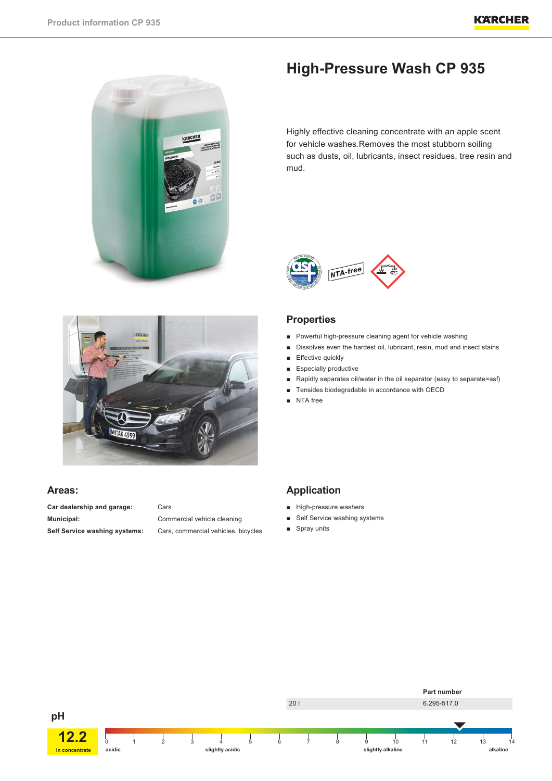



# **Areas:**

**Car dealership and garage:** Cars **Municipal:** Commercial vehicle cleaning

**Self Service washing systems:** Cars, commercial vehicles, bicycles

# **High-Pressure Wash CP 935**

Highly effective cleaning concentrate with an apple scent for vehicle washes.Removes the most stubborn soiling such as dusts, oil, lubricants, insect residues, tree resin and mud.



# **Properties**

- Powerful high-pressure cleaning agent for vehicle washing
- Dissolves even the hardest oil, lubricant, resin, mud and insect stains
- Effective quickly
- Especially productive
- Rapidly separates oil/water in the oil separator (easy to separate=asf)
- Tensides biodegradable in accordance with OECD
- NTA free

# **Application**

- High-pressure washers
- Self Service washing systems
- Spray units